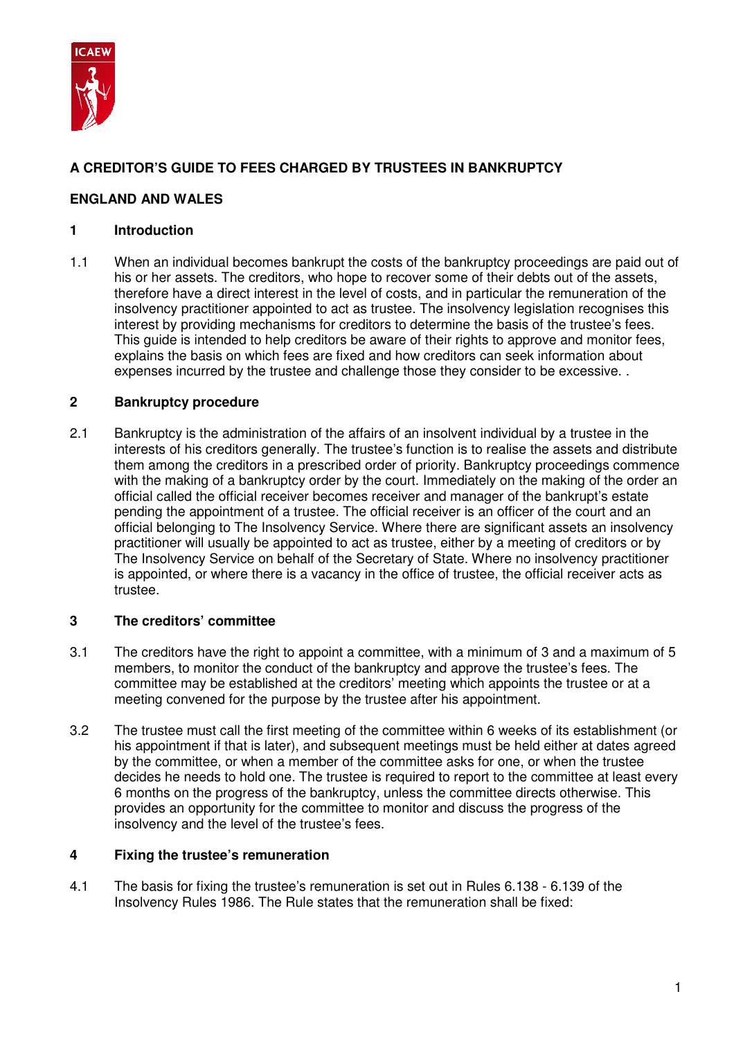

# **A CREDITOR'S GUIDE TO FEES CHARGED BY TRUSTEES IN BANKRUPTCY**

## **ENGLAND AND WALES**

## **1 Introduction**

1.1 When an individual becomes bankrupt the costs of the bankruptcy proceedings are paid out of his or her assets. The creditors, who hope to recover some of their debts out of the assets, therefore have a direct interest in the level of costs, and in particular the remuneration of the insolvency practitioner appointed to act as trustee. The insolvency legislation recognises this interest by providing mechanisms for creditors to determine the basis of the trustee's fees. This guide is intended to help creditors be aware of their rights to approve and monitor fees, explains the basis on which fees are fixed and how creditors can seek information about expenses incurred by the trustee and challenge those they consider to be excessive. .

## **2 Bankruptcy procedure**

2.1 Bankruptcy is the administration of the affairs of an insolvent individual by a trustee in the interests of his creditors generally. The trustee's function is to realise the assets and distribute them among the creditors in a prescribed order of priority. Bankruptcy proceedings commence with the making of a bankruptcy order by the court. Immediately on the making of the order an official called the official receiver becomes receiver and manager of the bankrupt's estate pending the appointment of a trustee. The official receiver is an officer of the court and an official belonging to The Insolvency Service. Where there are significant assets an insolvency practitioner will usually be appointed to act as trustee, either by a meeting of creditors or by The Insolvency Service on behalf of the Secretary of State. Where no insolvency practitioner is appointed, or where there is a vacancy in the office of trustee, the official receiver acts as trustee.

### **3 The creditors' committee**

- 3.1 The creditors have the right to appoint a committee, with a minimum of 3 and a maximum of 5 members, to monitor the conduct of the bankruptcy and approve the trustee's fees. The committee may be established at the creditors' meeting which appoints the trustee or at a meeting convened for the purpose by the trustee after his appointment.
- 3.2 The trustee must call the first meeting of the committee within 6 weeks of its establishment (or his appointment if that is later), and subsequent meetings must be held either at dates agreed by the committee, or when a member of the committee asks for one, or when the trustee decides he needs to hold one. The trustee is required to report to the committee at least every 6 months on the progress of the bankruptcy, unless the committee directs otherwise. This provides an opportunity for the committee to monitor and discuss the progress of the insolvency and the level of the trustee's fees.

### **4 Fixing the trustee's remuneration**

4.1 The basis for fixing the trustee's remuneration is set out in Rules 6.138 - 6.139 of the Insolvency Rules 1986. The Rule states that the remuneration shall be fixed: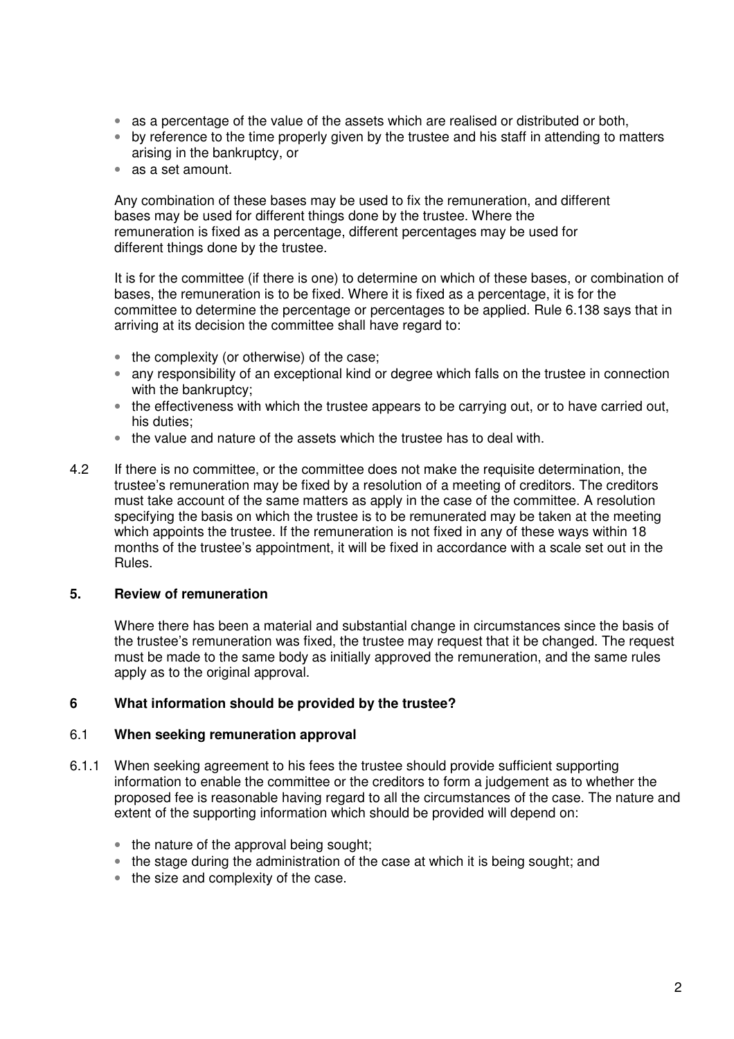- as a percentage of the value of the assets which are realised or distributed or both,
- by reference to the time properly given by the trustee and his staff in attending to matters arising in the bankruptcy, or
- as a set amount.

Any combination of these bases may be used to fix the remuneration, and different bases may be used for different things done by the trustee. Where the remuneration is fixed as a percentage, different percentages may be used for different things done by the trustee.

 It is for the committee (if there is one) to determine on which of these bases, or combination of bases, the remuneration is to be fixed. Where it is fixed as a percentage, it is for the committee to determine the percentage or percentages to be applied. Rule 6.138 says that in arriving at its decision the committee shall have regard to:

- the complexity (or otherwise) of the case;
- any responsibility of an exceptional kind or degree which falls on the trustee in connection with the bankruptcy:
- the effectiveness with which the trustee appears to be carrying out, or to have carried out, his duties;
- the value and nature of the assets which the trustee has to deal with.
- 4.2 If there is no committee, or the committee does not make the requisite determination, the trustee's remuneration may be fixed by a resolution of a meeting of creditors. The creditors must take account of the same matters as apply in the case of the committee. A resolution specifying the basis on which the trustee is to be remunerated may be taken at the meeting which appoints the trustee. If the remuneration is not fixed in any of these ways within 18 months of the trustee's appointment, it will be fixed in accordance with a scale set out in the Rules.

## **5. Review of remuneration**

Where there has been a material and substantial change in circumstances since the basis of the trustee's remuneration was fixed, the trustee may request that it be changed. The request must be made to the same body as initially approved the remuneration, and the same rules apply as to the original approval.

## **6 What information should be provided by the trustee?**

### 6.1 **When seeking remuneration approval**

- 6.1.1 When seeking agreement to his fees the trustee should provide sufficient supporting information to enable the committee or the creditors to form a judgement as to whether the proposed fee is reasonable having regard to all the circumstances of the case. The nature and extent of the supporting information which should be provided will depend on:
	- the nature of the approval being sought;
	- the stage during the administration of the case at which it is being sought; and
	- the size and complexity of the case.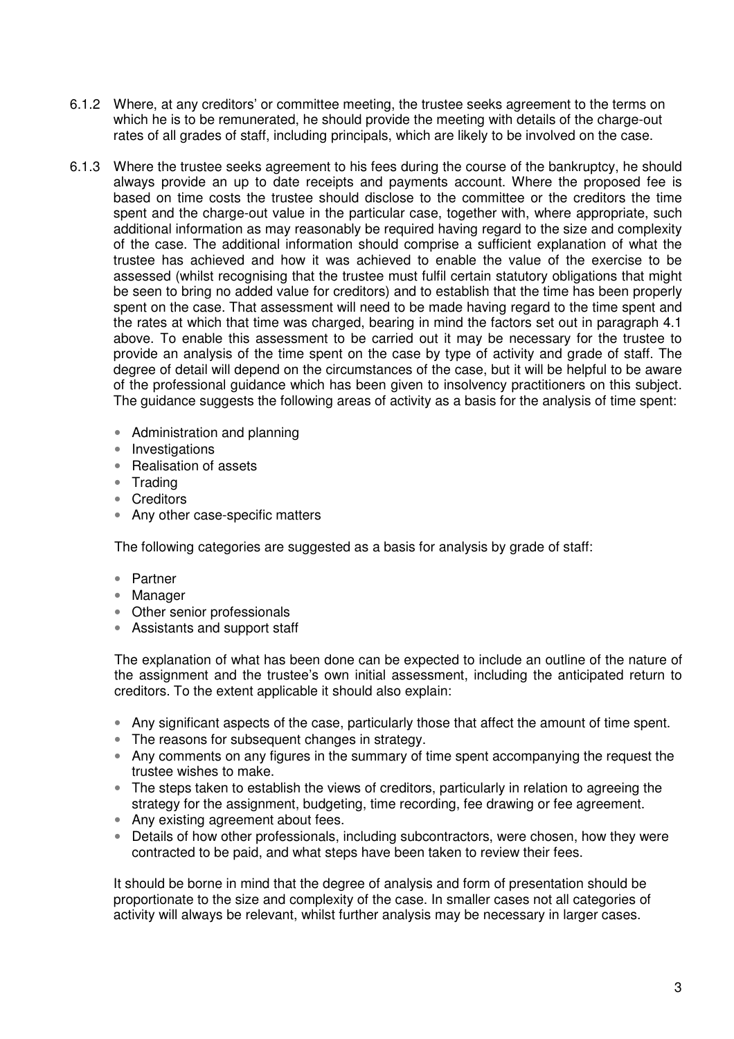- 6.1.2 Where, at any creditors' or committee meeting, the trustee seeks agreement to the terms on which he is to be remunerated, he should provide the meeting with details of the charge-out rates of all grades of staff, including principals, which are likely to be involved on the case.
- 6.1.3 Where the trustee seeks agreement to his fees during the course of the bankruptcy, he should always provide an up to date receipts and payments account. Where the proposed fee is based on time costs the trustee should disclose to the committee or the creditors the time spent and the charge-out value in the particular case, together with, where appropriate, such additional information as may reasonably be required having regard to the size and complexity of the case. The additional information should comprise a sufficient explanation of what the trustee has achieved and how it was achieved to enable the value of the exercise to be assessed (whilst recognising that the trustee must fulfil certain statutory obligations that might be seen to bring no added value for creditors) and to establish that the time has been properly spent on the case. That assessment will need to be made having regard to the time spent and the rates at which that time was charged, bearing in mind the factors set out in paragraph 4.1 above. To enable this assessment to be carried out it may be necessary for the trustee to provide an analysis of the time spent on the case by type of activity and grade of staff. The degree of detail will depend on the circumstances of the case, but it will be helpful to be aware of the professional guidance which has been given to insolvency practitioners on this subject. The guidance suggests the following areas of activity as a basis for the analysis of time spent:
	- Administration and planning
	- Investigations
	- Realisation of assets
	- Trading
	- Creditors
	- Any other case-specific matters

The following categories are suggested as a basis for analysis by grade of staff:

- Partner
- Manager
- Other senior professionals
- Assistants and support staff

The explanation of what has been done can be expected to include an outline of the nature of the assignment and the trustee's own initial assessment, including the anticipated return to creditors. To the extent applicable it should also explain:

- Any significant aspects of the case, particularly those that affect the amount of time spent.
- The reasons for subsequent changes in strategy.
- Any comments on any figures in the summary of time spent accompanying the request the trustee wishes to make.
- The steps taken to establish the views of creditors, particularly in relation to agreeing the strategy for the assignment, budgeting, time recording, fee drawing or fee agreement.
- Any existing agreement about fees.
- Details of how other professionals, including subcontractors, were chosen, how they were contracted to be paid, and what steps have been taken to review their fees.

It should be borne in mind that the degree of analysis and form of presentation should be proportionate to the size and complexity of the case. In smaller cases not all categories of activity will always be relevant, whilst further analysis may be necessary in larger cases.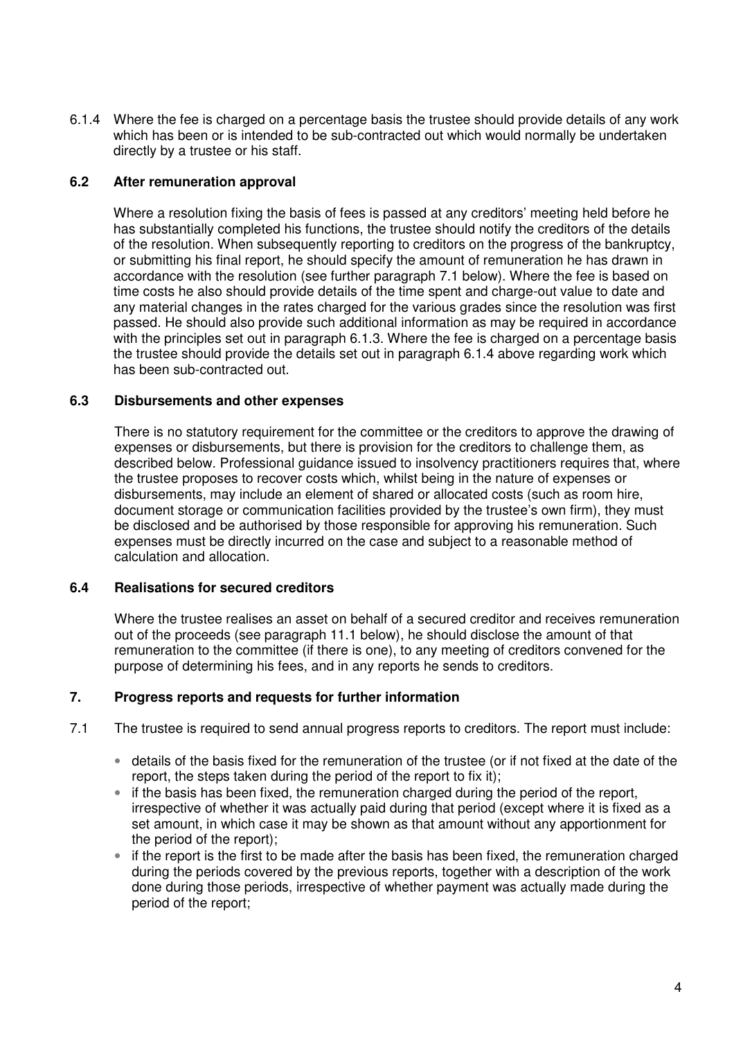6.1.4 Where the fee is charged on a percentage basis the trustee should provide details of any work which has been or is intended to be sub-contracted out which would normally be undertaken directly by a trustee or his staff.

### **6.2 After remuneration approval**

 Where a resolution fixing the basis of fees is passed at any creditors' meeting held before he has substantially completed his functions, the trustee should notify the creditors of the details of the resolution. When subsequently reporting to creditors on the progress of the bankruptcy, or submitting his final report, he should specify the amount of remuneration he has drawn in accordance with the resolution (see further paragraph 7.1 below). Where the fee is based on time costs he also should provide details of the time spent and charge-out value to date and any material changes in the rates charged for the various grades since the resolution was first passed. He should also provide such additional information as may be required in accordance with the principles set out in paragraph 6.1.3. Where the fee is charged on a percentage basis the trustee should provide the details set out in paragraph 6.1.4 above regarding work which has been sub-contracted out.

## **6.3 Disbursements and other expenses**

There is no statutory requirement for the committee or the creditors to approve the drawing of expenses or disbursements, but there is provision for the creditors to challenge them, as described below. Professional guidance issued to insolvency practitioners requires that, where the trustee proposes to recover costs which, whilst being in the nature of expenses or disbursements, may include an element of shared or allocated costs (such as room hire, document storage or communication facilities provided by the trustee's own firm), they must be disclosed and be authorised by those responsible for approving his remuneration. Such expenses must be directly incurred on the case and subject to a reasonable method of calculation and allocation.

### **6.4 Realisations for secured creditors**

Where the trustee realises an asset on behalf of a secured creditor and receives remuneration out of the proceeds (see paragraph 11.1 below), he should disclose the amount of that remuneration to the committee (if there is one), to any meeting of creditors convened for the purpose of determining his fees, and in any reports he sends to creditors.

### **7. Progress reports and requests for further information**

- 7.1 The trustee is required to send annual progress reports to creditors. The report must include:
	- details of the basis fixed for the remuneration of the trustee (or if not fixed at the date of the report, the steps taken during the period of the report to fix it);
	- if the basis has been fixed, the remuneration charged during the period of the report, irrespective of whether it was actually paid during that period (except where it is fixed as a set amount, in which case it may be shown as that amount without any apportionment for the period of the report);
	- if the report is the first to be made after the basis has been fixed, the remuneration charged during the periods covered by the previous reports, together with a description of the work done during those periods, irrespective of whether payment was actually made during the period of the report;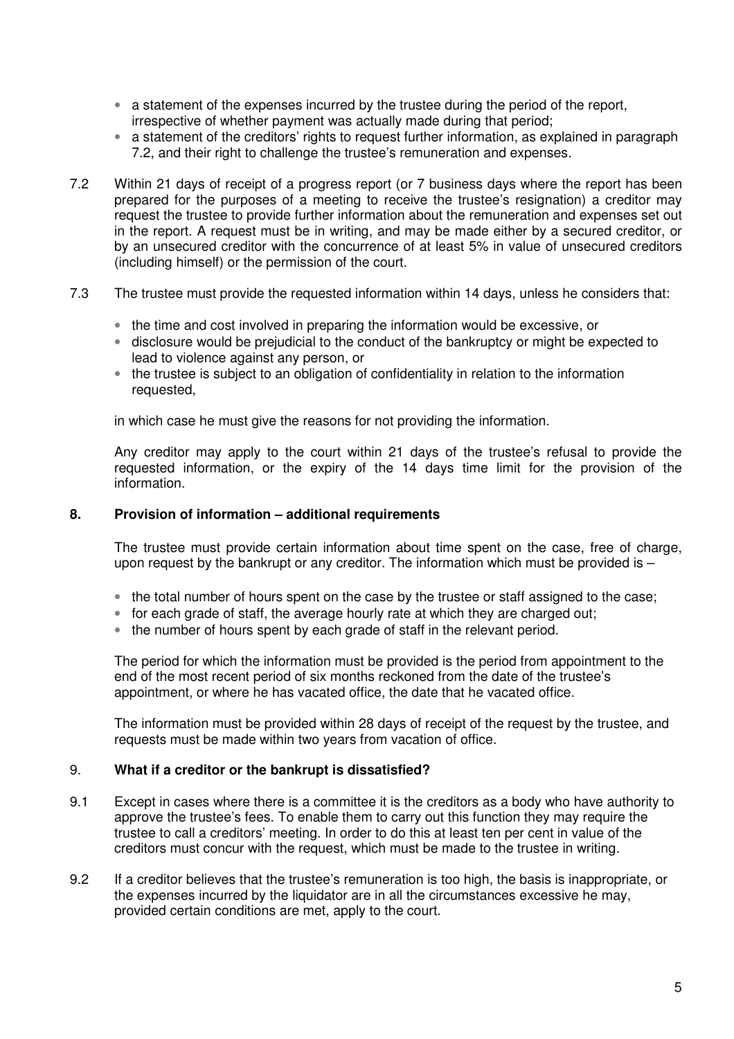- a statement of the expenses incurred by the trustee during the period of the report, irrespective of whether payment was actually made during that period;
- a statement of the creditors' rights to request further information, as explained in paragraph 7.2, and their right to challenge the trustee's remuneration and expenses.
- 7.2 Within 21 days of receipt of a progress report (or 7 business days where the report has been prepared for the purposes of a meeting to receive the trustee's resignation) a creditor may request the trustee to provide further information about the remuneration and expenses set out in the report. A request must be in writing, and may be made either by a secured creditor, or by an unsecured creditor with the concurrence of at least 5% in value of unsecured creditors (including himself) or the permission of the court.
- 7.3 The trustee must provide the requested information within 14 days, unless he considers that:
	- the time and cost involved in preparing the information would be excessive, or
	- disclosure would be prejudicial to the conduct of the bankruptcy or might be expected to lead to violence against any person, or
	- the trustee is subject to an obligation of confidentiality in relation to the information requested,

in which case he must give the reasons for not providing the information.

Any creditor may apply to the court within 21 days of the trustee's refusal to provide the requested information, or the expiry of the 14 days time limit for the provision of the information.

#### **8. Provision of information – additional requirements**

The trustee must provide certain information about time spent on the case, free of charge, upon request by the bankrupt or any creditor. The information which must be provided is –

- the total number of hours spent on the case by the trustee or staff assigned to the case;
- for each grade of staff, the average hourly rate at which they are charged out;
- the number of hours spent by each grade of staff in the relevant period.

The period for which the information must be provided is the period from appointment to the end of the most recent period of six months reckoned from the date of the trustee's appointment, or where he has vacated office, the date that he vacated office.

The information must be provided within 28 days of receipt of the request by the trustee, and requests must be made within two years from vacation of office.

#### 9. **What if a creditor or the bankrupt is dissatisfied?**

- 9.1 Except in cases where there is a committee it is the creditors as a body who have authority to approve the trustee's fees. To enable them to carry out this function they may require the trustee to call a creditors' meeting. In order to do this at least ten per cent in value of the creditors must concur with the request, which must be made to the trustee in writing.
- 9.2 If a creditor believes that the trustee's remuneration is too high, the basis is inappropriate, or the expenses incurred by the liquidator are in all the circumstances excessive he may, provided certain conditions are met, apply to the court.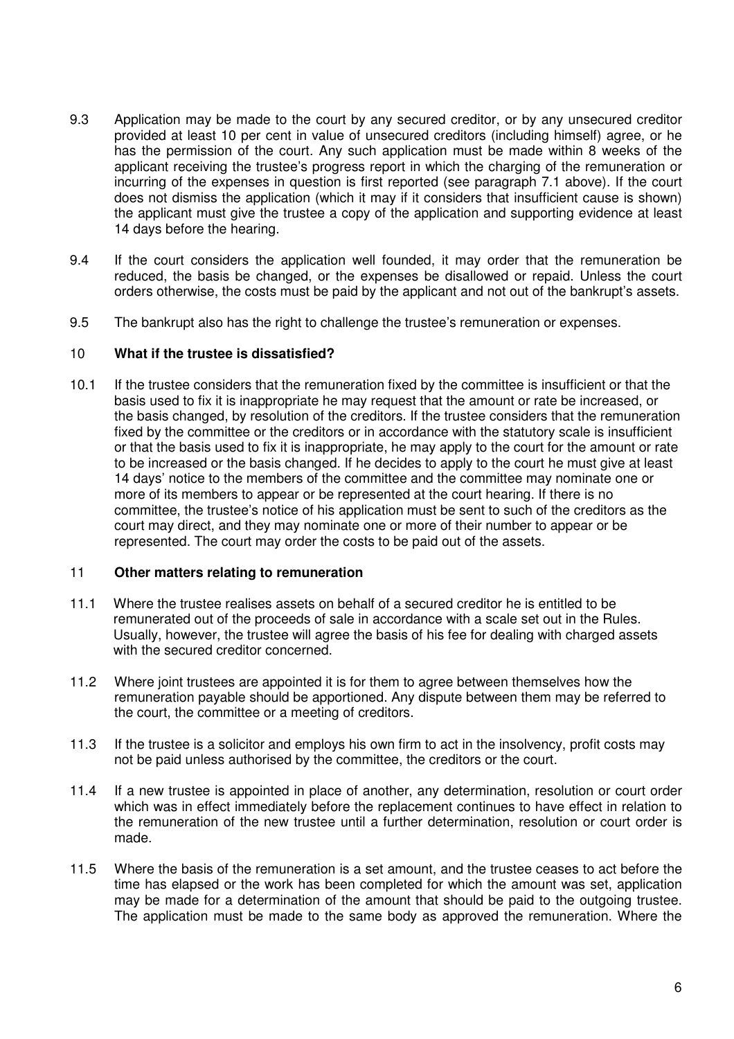- 9.3 Application may be made to the court by any secured creditor, or by any unsecured creditor provided at least 10 per cent in value of unsecured creditors (including himself) agree, or he has the permission of the court. Any such application must be made within 8 weeks of the applicant receiving the trustee's progress report in which the charging of the remuneration or incurring of the expenses in question is first reported (see paragraph 7.1 above). If the court does not dismiss the application (which it may if it considers that insufficient cause is shown) the applicant must give the trustee a copy of the application and supporting evidence at least 14 days before the hearing.
- 9.4 If the court considers the application well founded, it may order that the remuneration be reduced, the basis be changed, or the expenses be disallowed or repaid. Unless the court orders otherwise, the costs must be paid by the applicant and not out of the bankrupt's assets.
- 9.5 The bankrupt also has the right to challenge the trustee's remuneration or expenses.

#### 10 **What if the trustee is dissatisfied?**

10.1 If the trustee considers that the remuneration fixed by the committee is insufficient or that the basis used to fix it is inappropriate he may request that the amount or rate be increased, or the basis changed, by resolution of the creditors. If the trustee considers that the remuneration fixed by the committee or the creditors or in accordance with the statutory scale is insufficient or that the basis used to fix it is inappropriate, he may apply to the court for the amount or rate to be increased or the basis changed. If he decides to apply to the court he must give at least 14 days' notice to the members of the committee and the committee may nominate one or more of its members to appear or be represented at the court hearing. If there is no committee, the trustee's notice of his application must be sent to such of the creditors as the court may direct, and they may nominate one or more of their number to appear or be represented. The court may order the costs to be paid out of the assets.

#### 11 **Other matters relating to remuneration**

- 11.1 Where the trustee realises assets on behalf of a secured creditor he is entitled to be remunerated out of the proceeds of sale in accordance with a scale set out in the Rules. Usually, however, the trustee will agree the basis of his fee for dealing with charged assets with the secured creditor concerned.
- 11.2 Where joint trustees are appointed it is for them to agree between themselves how the remuneration payable should be apportioned. Any dispute between them may be referred to the court, the committee or a meeting of creditors.
- 11.3 If the trustee is a solicitor and employs his own firm to act in the insolvency, profit costs may not be paid unless authorised by the committee, the creditors or the court.
- 11.4 If a new trustee is appointed in place of another, any determination, resolution or court order which was in effect immediately before the replacement continues to have effect in relation to the remuneration of the new trustee until a further determination, resolution or court order is made.
- 11.5 Where the basis of the remuneration is a set amount, and the trustee ceases to act before the time has elapsed or the work has been completed for which the amount was set, application may be made for a determination of the amount that should be paid to the outgoing trustee. The application must be made to the same body as approved the remuneration. Where the